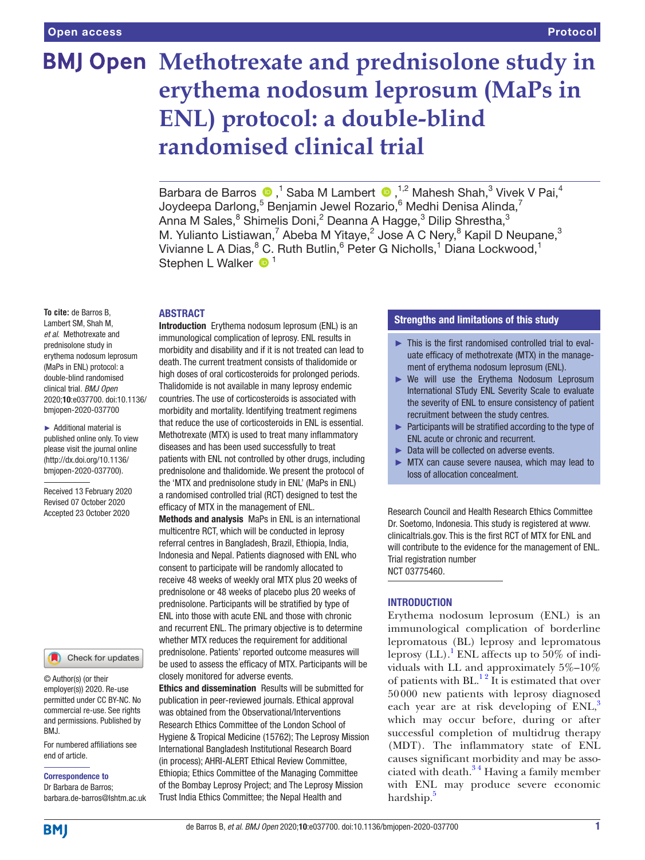# **BMJ Open Methotrexate and prednisolone study in erythema nodosum leprosum (MaPs in ENL) protocol: a double-blind randomised clinical trial**

Barbara de Barros  $\bigcirc$ ,<sup>1</sup> Saba M Lambert  $\bigcirc$ ,<sup>1,2</sup> Mahesh Shah,<sup>3</sup> Vivek V Pai,<sup>4</sup> Joydeepa Darlong, $^5$  Benjamin Jewel Rozario, $^6$  Medhi Denisa Alinda, $^7$ Anna M Sales, $^8$  Shimelis Doni, $^2$  Deanna A Hagge, $^3$  Dilip Shrestha, $^3$ M. Yulianto Listiawan,<sup>7</sup> Abeba M Yitaye,<sup>2</sup> Jose A C Nery,<sup>8</sup> Kapil D Neupane,<sup>3</sup> Vivianne L A Dias,<sup>8</sup> C. Ruth Butlin,<sup>6</sup> Peter G Nicholls,<sup>1</sup> Diana Lockwood,<sup>1</sup> Stephen L Walker  $\mathbf{0}^1$ 

# ABSTRACT

**To cite:** de Barros B, Lambert SM, Shah M, *et al*. Methotrexate and prednisolone study in erythema nodosum leprosum (MaPs in ENL) protocol: a double-blind randomised clinical trial. *BMJ Open* 2020;10:e037700. doi:10.1136/ bmjopen-2020-037700

► Additional material is published online only. To view please visit the journal online (http://dx.doi.org/10.1136/ bmjopen-2020-037700).

Received 13 February 2020 Revised 07 October 2020 Accepted 23 October 2020



© Author(s) (or their employer(s)) 2020. Re-use permitted under CC BY-NC. No commercial re-use. See rights and permissions. Published by BMJ.

For numbered affiliations see end of article.

Correspondence to

Dr Barbara de Barros; barbara.de-barros@lshtm.ac.uk

Introduction Erythema nodosum leprosum (ENL) is an immunological complication of leprosy. ENL results in morbidity and disability and if it is not treated can lead to death. The current treatment consists of thalidomide or high doses of oral corticosteroids for prolonged periods. Thalidomide is not available in many leprosy endemic countries. The use of corticosteroids is associated with morbidity and mortality. Identifying treatment regimens that reduce the use of corticosteroids in ENL is essential. Methotrexate (MTX) is used to treat many inflammatory diseases and has been used successfully to treat patients with ENL not controlled by other drugs, including prednisolone and thalidomide. We present the protocol of the 'MTX and prednisolone study in ENL' (MaPs in ENL) a randomised controlled trial (RCT) designed to test the efficacy of MTX in the management of ENL.

Methods and analysis MaPs in ENL is an international multicentre RCT, which will be conducted in leprosy referral centres in Bangladesh, Brazil, Ethiopia, India, Indonesia and Nepal. Patients diagnosed with ENL who consent to participate will be randomly allocated to receive 48 weeks of weekly oral MTX plus 20 weeks of prednisolone or 48 weeks of placebo plus 20 weeks of prednisolone. Participants will be stratified by type of ENL into those with acute ENL and those with chronic and recurrent ENL. The primary objective is to determine whether MTX reduces the requirement for additional prednisolone. Patients' reported outcome measures will be used to assess the efficacy of MTX. Participants will be closely monitored for adverse events.

Ethics and dissemination Results will be submitted for publication in peer-reviewed journals. Ethical approval was obtained from the Observational/Interventions Research Ethics Committee of the London School of Hygiene & Tropical Medicine (15762); The Leprosy Mission International Bangladesh Institutional Research Board (in process); AHRI-ALERT Ethical Review Committee, Ethiopia; Ethics Committee of the Managing Committee of the Bombay Leprosy Project; and The Leprosy Mission Trust India Ethics Committee; the Nepal Health and

# Strengths and limitations of this study

- ► This is the first randomised controlled trial to evaluate efficacy of methotrexate (MTX) in the management of erythema nodosum leprosum (ENL).
- ► We will use the Erythema Nodosum Leprosum International STudy ENL Severity Scale to evaluate the severity of ENL to ensure consistency of patient recruitment between the study centres.
- ► Participants will be stratified according to the type of ENL acute or chronic and recurrent.
- Data will be collected on adverse events.
- ► MTX can cause severe nausea, which may lead to loss of allocation concealment.

Research Council and Health Research Ethics Committee Dr. Soetomo, Indonesia. This study is registered at [www.](www.clinicaltrials.gov) [clinicaltrials.gov](www.clinicaltrials.gov). This is the first RCT of MTX for ENL and will contribute to the evidence for the management of ENL. Trial registration number NCT 03775460.

#### INTRODUCTION

Erythema nodosum leprosum (ENL) is an immunological complication of borderline lepromatous (BL) leprosy and lepromatous leprosy  $(LL)$ .<sup>[1](#page-5-0)</sup> ENL affects up to 50% of individuals with LL and approximately 5%–10% of patients with  $BL<sup>12</sup>$  It is estimated that over 50000 new patients with leprosy diagnosed each year are at risk developing of  $ENL$ ,<sup>3</sup> which may occur before, during or after successful completion of multidrug therapy (MDT). The inflammatory state of ENL causes significant morbidity and may be associated with death.<sup>34</sup> Having a family member with ENL may produce severe economic hardship.<sup>[5](#page-5-2)</sup>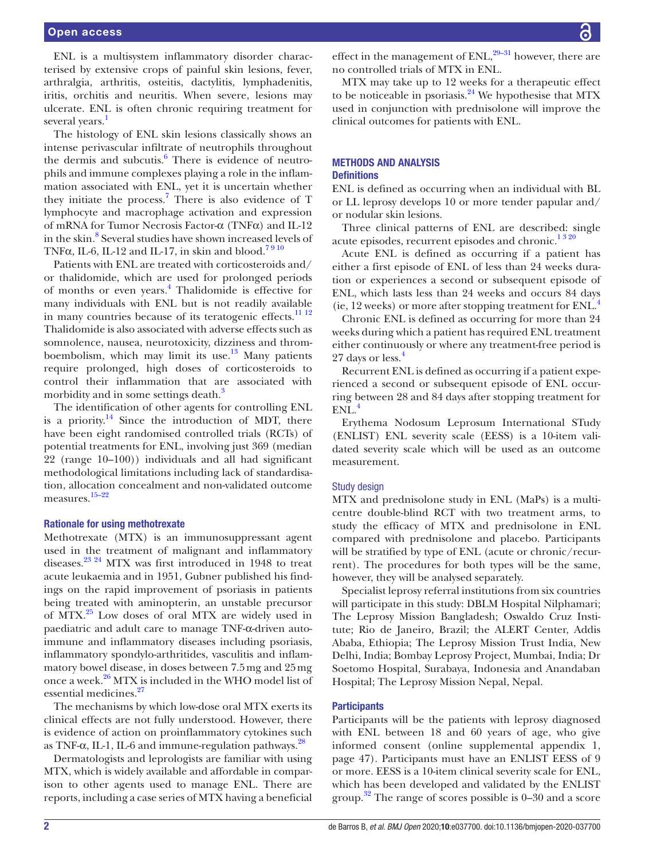ENL is a multisystem inflammatory disorder characterised by extensive crops of painful skin lesions, fever, arthralgia, arthritis, osteitis, dactylitis, lymphadenitis, iritis, orchitis and neuritis. When severe, lesions may ulcerate. ENL is often chronic requiring treatment for several years.

The histology of ENL skin lesions classically shows an intense perivascular infiltrate of neutrophils throughout the dermis and subcutis.<sup>6</sup> There is evidence of neutrophils and immune complexes playing a role in the inflammation associated with ENL, yet it is uncertain whether they initiate the process.<sup>[7](#page-5-4)</sup> There is also evidence of  $T$ lymphocyte and macrophage activation and expression of mRNA for Tumor Necrosis Factor-α (TNFα) and IL-12 in the skin.<sup>[8](#page-5-5)</sup> Several studies have shown increased levels of TNF $\alpha$ , IL-6, IL-12 and IL-17, in skin and blood.<sup>7910</sup>

Patients with ENL are treated with corticosteroids and/ or thalidomide, which are used for prolonged periods of months or even years.<sup>[4](#page-5-6)</sup> Thalidomide is effective for many individuals with ENL but is not readily available in many countries because of its teratogenic effects.<sup>11 12</sup> Thalidomide is also associated with adverse effects such as somnolence, nausea, neurotoxicity, dizziness and thromboembolism, which may limit its use. $13$  Many patients require prolonged, high doses of corticosteroids to control their inflammation that are associated with morbidity and in some settings death.<sup>[3](#page-5-1)</sup>

The identification of other agents for controlling ENL is a priority.<sup>14</sup> Since the introduction of MDT, there have been eight randomised controlled trials (RCTs) of potential treatments for ENL, involving just 369 (median 22 (range 10–100)) individuals and all had significant methodological limitations including lack of standardisation, allocation concealment and non-validated outcome measures[.15–22](#page-5-10)

#### Rationale for using methotrexate

Methotrexate (MTX) is an immunosuppressant agent used in the treatment of malignant and inflammatory diseases[.23 24](#page-6-0) MTX was first introduced in 1948 to treat acute leukaemia and in 1951, Gubner published his findings on the rapid improvement of psoriasis in patients being treated with aminopterin, an unstable precursor of MTX[.25](#page-6-1) Low doses of oral MTX are widely used in paediatric and adult care to manage TNF-α-driven autoimmune and inflammatory diseases including psoriasis, inflammatory spondylo-arthritides, vasculitis and inflammatory bowel disease, in doses between 7.5mg and 25mg once a week.<sup>26</sup> MTX is included in the WHO model list of essential medicines.<sup>[27](#page-6-3)</sup>

The mechanisms by which low-dose oral MTX exerts its clinical effects are not fully understood. However, there is evidence of action on proinflammatory cytokines such as TNF- $\alpha$ , IL-1, IL-6 and immune-regulation pathways.<sup>28</sup>

Dermatologists and leprologists are familiar with using MTX, which is widely available and affordable in comparison to other agents used to manage ENL. There are reports, including a case series of MTX having a beneficial

effect in the management of  $\text{ENL}$ ,  $^{29-31}$  however, there are no controlled trials of MTX in ENL.

MTX may take up to 12 weeks for a therapeutic effect to be noticeable in psoriasis. $^{24}$  We hypothesise that MTX used in conjunction with prednisolone will improve the clinical outcomes for patients with ENL.

# METHODS AND ANALYSIS

# **Definitions**

ENL is defined as occurring when an individual with BL or LL leprosy develops 10 or more tender papular and/ or nodular skin lesions.

Three clinical patterns of ENL are described: single acute episodes, recurrent episodes and chronic.<sup>1320</sup>

Acute ENL is defined as occurring if a patient has either a first episode of ENL of less than 24 weeks duration or experiences a second or subsequent episode of ENL, which lasts less than 24 weeks and occurs 84 days (ie, 12 weeks) or more after stopping treatment for  $\text{ENL}^4$ .

Chronic ENL is defined as occurring for more than 24 weeks during which a patient has required ENL treatment either continuously or where any treatment-free period is 27 days or less.<sup>[4](#page-5-6)</sup>

Recurrent ENL is defined as occurring if a patient experienced a second or subsequent episode of ENL occurring between 28 and 84 days after stopping treatment for  $ENL<sup>4</sup>$ 

Erythema Nodosum Leprosum International STudy (ENLIST) ENL severity scale (EESS) is a 10-item validated severity scale which will be used as an outcome measurement.

# Study design

MTX and prednisolone study in ENL (MaPs) is a multicentre double-blind RCT with two treatment arms, to study the efficacy of MTX and prednisolone in ENL compared with prednisolone and placebo. Participants will be stratified by type of ENL (acute or chronic/recurrent). The procedures for both types will be the same, however, they will be analysed separately.

Specialist leprosy referral institutions from six countries will participate in this study: DBLM Hospital Nilphamari; The Leprosy Mission Bangladesh; Oswaldo Cruz Institute; Rio de Janeiro, Brazil; the ALERT Center, Addis Ababa, Ethiopia; The Leprosy Mission Trust India, New Delhi, India; Bombay Leprosy Project, Mumbai, India; Dr Soetomo Hospital, Surabaya, Indonesia and Anandaban Hospital; The Leprosy Mission Nepal, Nepal.

# **Participants**

Participants will be the patients with leprosy diagnosed with ENL between 18 and 60 years of age, who give informed consent [\(online supplemental appendix 1](https://dx.doi.org/10.1136/bmjopen-2020-037700), page 47). Participants must have an ENLIST EESS of 9 or more. EESS is a 10-item clinical severity scale for ENL, which has been developed and validated by the ENLIST group.<sup>32</sup> The range of scores possible is 0–30 and a score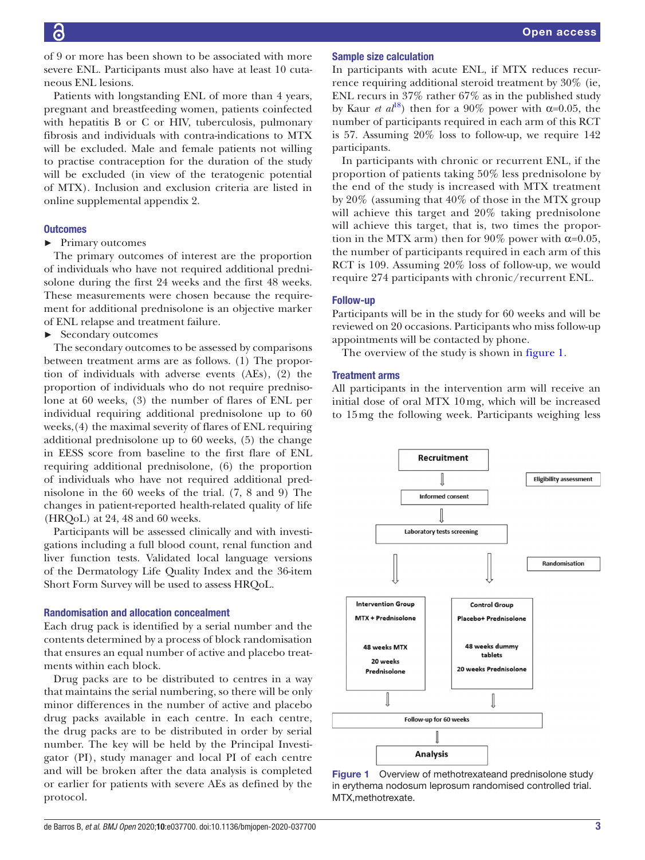of 9 or more has been shown to be associated with more severe ENL. Participants must also have at least 10 cutaneous ENL lesions.

Patients with longstanding ENL of more than 4 years, pregnant and breastfeeding women, patients coinfected with hepatitis B or C or HIV, tuberculosis, pulmonary fibrosis and individuals with contra-indications to MTX will be excluded. Male and female patients not willing to practise contraception for the duration of the study will be excluded (in view of the teratogenic potential of MTX). Inclusion and exclusion criteria are listed in [online supplemental appendix 2](https://dx.doi.org/10.1136/bmjopen-2020-037700).

# **Outcomes**

# ► Primary outcomes

The primary outcomes of interest are the proportion of individuals who have not required additional prednisolone during the first 24 weeks and the first 48 weeks. These measurements were chosen because the requirement for additional prednisolone is an objective marker of ENL relapse and treatment failure.

# ► Secondary outcomes

The secondary outcomes to be assessed by comparisons between treatment arms are as follows. (1) The proportion of individuals with adverse events (AEs), (2) the proportion of individuals who do not require prednisolone at 60 weeks, (3) the number of flares of ENL per individual requiring additional prednisolone up to 60 weeks,(4) the maximal severity of flares of ENL requiring additional prednisolone up to 60 weeks, (5) the change in EESS score from baseline to the first flare of ENL requiring additional prednisolone, (6) the proportion of individuals who have not required additional prednisolone in the 60 weeks of the trial. (7, 8 and 9) The changes in patient-reported health-related quality of life (HRQoL) at 24, 48 and 60 weeks.

Participants will be assessed clinically and with investigations including a full blood count, renal function and liver function tests. Validated local language versions of the Dermatology Life Quality Index and the 36-item Short Form Survey will be used to assess HRQoL.

#### Randomisation and allocation concealment

Each drug pack is identified by a serial number and the contents determined by a process of block randomisation that ensures an equal number of active and placebo treatments within each block.

Drug packs are to be distributed to centres in a way that maintains the serial numbering, so there will be only minor differences in the number of active and placebo drug packs available in each centre. In each centre, the drug packs are to be distributed in order by serial number. The key will be held by the Principal Investigator (PI), study manager and local PI of each centre and will be broken after the data analysis is completed or earlier for patients with severe AEs as defined by the protocol.

#### Sample size calculation

In participants with acute ENL, if MTX reduces recurrence requiring additional steroid treatment by 30% (ie, ENL recurs in 37% rather 67% as in the published study by Kaur *et al*<sup>[18](#page-5-11)</sup>) then for a 90% power with α=0.05, the number of participants required in each arm of this RCT is 57. Assuming 20% loss to follow-up, we require 142 participants.

In participants with chronic or recurrent ENL, if the proportion of patients taking 50% less prednisolone by the end of the study is increased with MTX treatment by 20% (assuming that 40% of those in the MTX group will achieve this target and 20% taking prednisolone will achieve this target, that is, two times the proportion in the MTX arm) then for 90% power with  $\alpha$ =0.05, the number of participants required in each arm of this RCT is 109. Assuming 20% loss of follow-up, we would require 274 participants with chronic/recurrent ENL.

#### Follow-up

Participants will be in the study for 60 weeks and will be reviewed on 20 occasions. Participants who miss follow-up appointments will be contacted by phone.

The overview of the study is shown in [figure](#page-2-0) 1.

# Treatment arms

All participants in the intervention arm will receive an initial dose of oral MTX 10mg, which will be increased to 15mg the following week. Participants weighing less



<span id="page-2-0"></span>Figure 1 Overview of methotrexateand prednisolone study in erythema nodosum leprosum randomised controlled trial. MTX,methotrexate.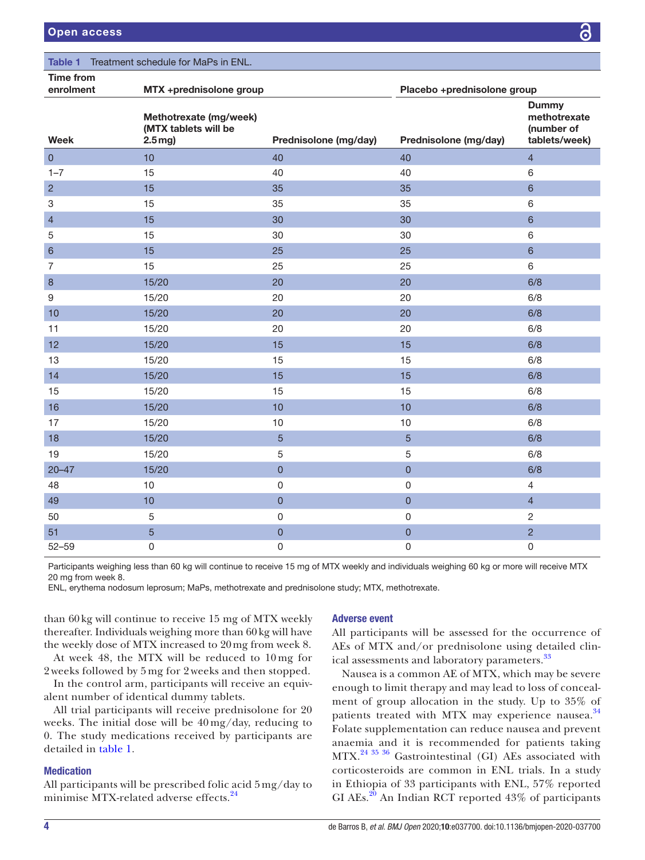<span id="page-3-0"></span>

| Treatment schedule for MaPs in ENL.<br>Table 1 |                                                             |                       |                             |                                                             |
|------------------------------------------------|-------------------------------------------------------------|-----------------------|-----------------------------|-------------------------------------------------------------|
| <b>Time from</b><br>enrolment                  | MTX +prednisolone group                                     |                       | Placebo +prednisolone group |                                                             |
| <b>Week</b>                                    | Methotrexate (mg/week)<br>(MTX tablets will be<br>$2.5$ mg) | Prednisolone (mg/day) | Prednisolone (mg/day)       | <b>Dummy</b><br>methotrexate<br>(number of<br>tablets/week) |
| $\mathbf 0$                                    | 10                                                          | 40                    | 40                          | $\overline{4}$                                              |
| $1 - 7$                                        | 15                                                          | 40                    | 40                          | $\,6\,$                                                     |
| $\overline{c}$                                 | 15                                                          | 35                    | 35                          | $6\phantom{1}$                                              |
| 3                                              | 15                                                          | 35                    | 35                          | 6                                                           |
| $\overline{4}$                                 | 15                                                          | 30                    | 30                          | $\sqrt{6}$                                                  |
| 5                                              | 15                                                          | 30                    | 30                          | 6                                                           |
| 6                                              | 15                                                          | 25                    | 25                          | $\sqrt{6}$                                                  |
| 7                                              | 15                                                          | 25                    | 25                          | 6                                                           |
| 8                                              | 15/20                                                       | 20                    | 20                          | 6/8                                                         |
| 9                                              | 15/20                                                       | 20                    | 20                          | 6/8                                                         |
| 10                                             | 15/20                                                       | 20                    | 20                          | 6/8                                                         |
| 11                                             | 15/20                                                       | 20                    | 20                          | 6/8                                                         |
| 12                                             | 15/20                                                       | 15                    | 15                          | 6/8                                                         |
| 13                                             | 15/20                                                       | 15                    | 15                          | 6/8                                                         |
| 14                                             | 15/20                                                       | 15                    | 15                          | 6/8                                                         |
| 15                                             | 15/20                                                       | 15                    | 15                          | 6/8                                                         |
| 16                                             | 15/20                                                       | 10                    | 10                          | 6/8                                                         |
| 17                                             | 15/20                                                       | 10                    | 10                          | 6/8                                                         |
| 18                                             | 15/20                                                       | $\overline{5}$        | $\overline{5}$              | 6/8                                                         |
| 19                                             | 15/20                                                       | $\sqrt{5}$            | $\sqrt{5}$                  | 6/8                                                         |
| $20 - 47$                                      | 15/20                                                       | $\pmb{0}$             | $\pmb{0}$                   | 6/8                                                         |
| 48                                             | 10                                                          | $\mathbf 0$           | $\mathbf 0$                 | 4                                                           |
| 49                                             | 10                                                          | $\pmb{0}$             | $\pmb{0}$                   | $\overline{4}$                                              |
| 50                                             | 5                                                           | $\mathsf 0$           | $\mathsf 0$                 | $\overline{2}$                                              |
| 51                                             | 5                                                           | $\pmb{0}$             | $\pmb{0}$                   | $\overline{c}$                                              |
| $52 - 59$                                      | 0                                                           | $\pmb{0}$             | 0                           | $\mathsf 0$                                                 |

Participants weighing less than 60 kg will continue to receive 15 mg of MTX weekly and individuals weighing 60 kg or more will receive MTX 20 mg from week 8.

ENL, erythema nodosum leprosum; MaPs, methotrexate and prednisolone study; MTX, methotrexate.

than 60kg will continue to receive 15 mg of MTX weekly thereafter. Individuals weighing more than 60kg will have the weekly dose of MTX increased to 20mg from week 8.

At week 48, the MTX will be reduced to 10 mg for 2weeks followed by 5 mg for 2weeks and then stopped.

In the control arm, participants will receive an equivalent number of identical dummy tablets.

All trial participants will receive prednisolone for 20 weeks. The initial dose will be 40 mg/day, reducing to 0. The study medications received by participants are detailed in [table](#page-3-0) 1.

#### **Medication**

All participants will be prescribed folic acid 5 mg/day to minimise MTX-related adverse effects.<sup>[24](#page-6-6)</sup>

#### Adverse event

All participants will be assessed for the occurrence of AEs of MTX and/or prednisolone using detailed clin-ical assessments and laboratory parameters.<sup>[33](#page-6-8)</sup>

Nausea is a common AE of MTX, which may be severe enough to limit therapy and may lead to loss of concealment of group allocation in the study. Up to 35% of patients treated with MTX may experience nausea.<sup>[34](#page-6-9)</sup> Folate supplementation can reduce nausea and prevent anaemia and it is recommended for patients taking MTX.[24 35 36](#page-6-6) Gastrointestinal (GI) AEs associated with corticosteroids are common in ENL trials. In a study in Ethiopia of 33 participants with ENL, 57% reported GI AEs. $20$  An Indian RCT reported 43% of participants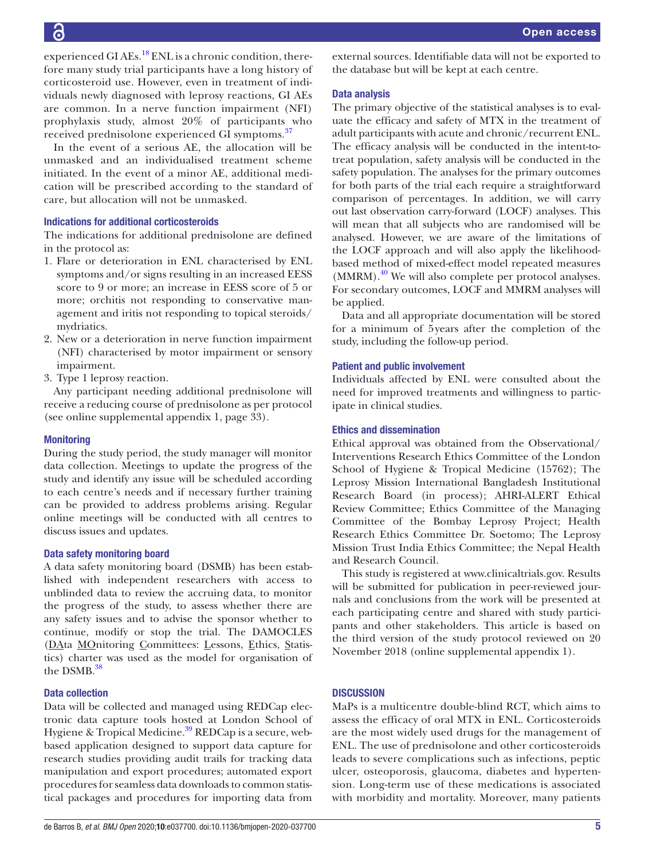experienced GI AEs. $^{18}$  ENL is a chronic condition, therefore many study trial participants have a long history of corticosteroid use. However, even in treatment of individuals newly diagnosed with leprosy reactions, GI AEs are common. In a nerve function impairment (NFI) prophylaxis study, almost 20% of participants who received prednisolone experienced GI symptoms.<sup>[37](#page-6-10)</sup>

In the event of a serious AE, the allocation will be unmasked and an individualised treatment scheme initiated. In the event of a minor AE, additional medication will be prescribed according to the standard of care, but allocation will not be unmasked.

# Indications for additional corticosteroids

The indications for additional prednisolone are defined in the protocol as:

- 1. Flare or deterioration in ENL characterised by ENL symptoms and/or signs resulting in an increased EESS score to 9 or more; an increase in EESS score of 5 or more; orchitis not responding to conservative management and iritis not responding to topical steroids/ mydriatics.
- 2. New or a deterioration in nerve function impairment (NFI) characterised by motor impairment or sensory impairment.
- 3. Type 1 leprosy reaction.

Any participant needing additional prednisolone will receive a reducing course of prednisolone as per protocol (see [online supplemental appendix 1,](https://dx.doi.org/10.1136/bmjopen-2020-037700) page 33).

#### **Monitoring**

During the study period, the study manager will monitor data collection. Meetings to update the progress of the study and identify any issue will be scheduled according to each centre's needs and if necessary further training can be provided to address problems arising. Regular online meetings will be conducted with all centres to discuss issues and updates.

#### Data safety monitoring board

A data safety monitoring board (DSMB) has been established with independent researchers with access to unblinded data to review the accruing data, to monitor the progress of the study, to assess whether there are any safety issues and to advise the sponsor whether to continue, modify or stop the trial. The DAMOCLES (DAta MOnitoring Committees: Lessons, Ethics, Statistics) charter was used as the model for organisation of the DSMB.<sup>[38](#page-6-11)</sup>

# Data collection

Data will be collected and managed using REDCap electronic data capture tools hosted at London School of Hygiene & Tropical Medicine.<sup>39</sup> REDCap is a secure, webbased application designed to support data capture for research studies providing audit trails for tracking data manipulation and export procedures; automated export procedures for seamless data downloads to common statistical packages and procedures for importing data from

external sources. Identifiable data will not be exported to the database but will be kept at each centre.

#### Data analysis

The primary objective of the statistical analyses is to evaluate the efficacy and safety of MTX in the treatment of adult participants with acute and chronic/recurrent ENL. The efficacy analysis will be conducted in the intent-totreat population, safety analysis will be conducted in the safety population. The analyses for the primary outcomes for both parts of the trial each require a straightforward comparison of percentages. In addition, we will carry out last observation carry-forward (LOCF) analyses. This will mean that all subjects who are randomised will be analysed. However, we are aware of the limitations of the LOCF approach and will also apply the likelihoodbased method of mixed-effect model repeated measures  $(MMRM).$ <sup>40</sup> We will also complete per protocol analyses. For secondary outcomes, LOCF and MMRM analyses will be applied.

Data and all appropriate documentation will be stored for a minimum of 5years after the completion of the study, including the follow-up period.

#### Patient and public involvement

Individuals affected by ENL were consulted about the need for improved treatments and willingness to participate in clinical studies.

#### Ethics and dissemination

Ethical approval was obtained from the Observational/ Interventions Research Ethics Committee of the London School of Hygiene & Tropical Medicine (15762); The Leprosy Mission International Bangladesh Institutional Research Board (in process); AHRI-ALERT Ethical Review Committee; Ethics Committee of the Managing Committee of the Bombay Leprosy Project; Health Research Ethics Committee Dr. Soetomo; The Leprosy Mission Trust India Ethics Committee; the Nepal Health and Research Council.

This study is registered at [www.clinicaltrials.gov.](www.clinicaltrials.gov) Results will be submitted for publication in peer-reviewed journals and conclusions from the work will be presented at each participating centre and shared with study participants and other stakeholders. This article is based on the third version of the study protocol reviewed on 20 November 2018 ([online supplemental appendix 1](https://dx.doi.org/10.1136/bmjopen-2020-037700)).

#### **DISCUSSION**

MaPs is a multicentre double-blind RCT, which aims to assess the efficacy of oral MTX in ENL. Corticosteroids are the most widely used drugs for the management of ENL. The use of prednisolone and other corticosteroids leads to severe complications such as infections, peptic ulcer, osteoporosis, glaucoma, diabetes and hypertension. Long-term use of these medications is associated with morbidity and mortality. Moreover, many patients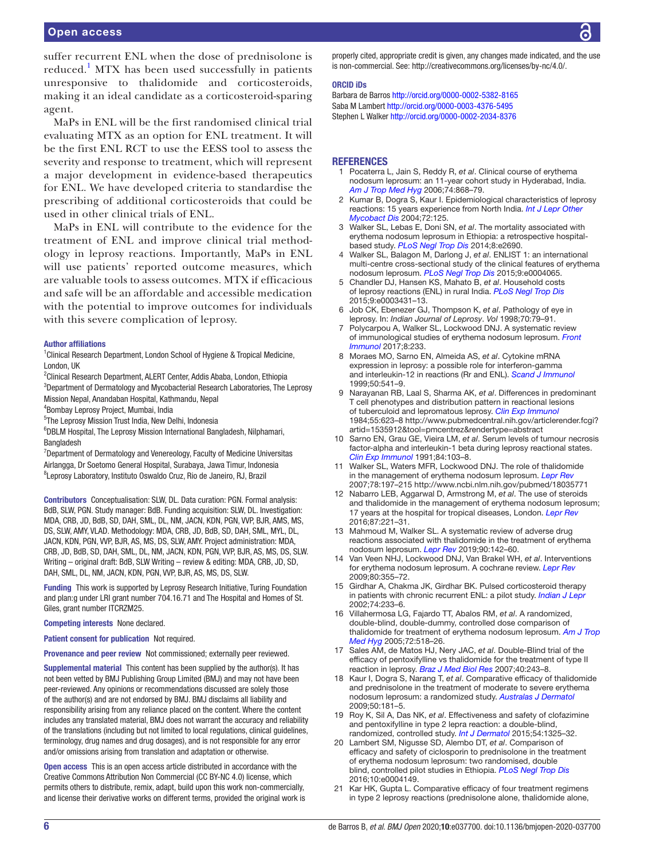# Open access

suffer recurrent ENL when the dose of prednisolone is reduced.<sup>[1](#page-5-0)</sup> MTX has been used successfully in patients unresponsive to thalidomide and corticosteroids, making it an ideal candidate as a corticosteroid-sparing agent.

MaPs in ENL will be the first randomised clinical trial evaluating MTX as an option for ENL treatment. It will be the first ENL RCT to use the EESS tool to assess the severity and response to treatment, which will represent a major development in evidence-based therapeutics for ENL. We have developed criteria to standardise the prescribing of additional corticosteroids that could be used in other clinical trials of ENL.

MaPs in ENL will contribute to the evidence for the treatment of ENL and improve clinical trial methodology in leprosy reactions. Importantly, MaPs in ENL will use patients' reported outcome measures, which are valuable tools to assess outcomes. MTX if efficacious and safe will be an affordable and accessible medication with the potential to improve outcomes for individuals with this severe complication of leprosy.

#### Author affiliations

<sup>1</sup> Clinical Research Department, London School of Hygiene & Tropical Medicine, London, UK

<sup>2</sup>Clinical Research Department, ALERT Center, Addis Ababa, London, Ethiopia

<sup>3</sup>Department of Dermatology and Mycobacterial Research Laboratories, The Leprosy Mission Nepal, Anandaban Hospital, Kathmandu, Nepal

4 Bombay Leprosy Project, Mumbai, India

<sup>5</sup>The Leprosy Mission Trust India, New Delhi, Indonesia

6 DBLM Hospital, The Leprosy Mission International Bangladesh, Nilphamari, Bangladesh

<sup>7</sup>Department of Dermatology and Venereology, Faculty of Medicine Universitas Airlangga, Dr Soetomo General Hospital, Surabaya, Jawa Timur, Indonesia <sup>8</sup>Leprosy Laboratory, Instituto Oswaldo Cruz, Rio de Janeiro, RJ, Brazil

Contributors Conceptualisation: SLW, DL. Data curation: PGN. Formal analysis: BdB, SLW, PGN. Study manager: BdB. Funding acquisition: SLW, DL. Investigation: MDA, CRB, JD, BdB, SD, DAH, SML, DL, NM, JACN, KDN, PGN, VVP, BJR, AMS, MS, DS, SLW, AMY, VLAD. Methodology: MDA, CRB, JD, BdB, SD, DAH, SML, MYL, DL, JACN, KDN, PGN, VVP, BJR, AS, MS, DS, SLW, AMY. Project administration: MDA, CRB, JD, BdB, SD, DAH, SML, DL, NM, JACN, KDN, PGN, VVP, BJR, AS, MS, DS, SLW. Writing – original draft: BdB, SLW Writing – review & editing: MDA, CRB, JD, SD, DAH, SML, DL, NM, JACN, KDN, PGN, VVP, BJR, AS, MS, DS, SLW.

Funding This work is supported by Leprosy Research Initiative, Turing Foundation and plan:g under LRI grant number 704.16.71 and The Hospital and Homes of St. Giles, grant number ITCRZM25.

Competing interests None declared.

Patient consent for publication Not required.

Provenance and peer review Not commissioned; externally peer reviewed.

Supplemental material This content has been supplied by the author(s). It has not been vetted by BMJ Publishing Group Limited (BMJ) and may not have been peer-reviewed. Any opinions or recommendations discussed are solely those of the author(s) and are not endorsed by BMJ. BMJ disclaims all liability and responsibility arising from any reliance placed on the content. Where the content includes any translated material, BMJ does not warrant the accuracy and reliability of the translations (including but not limited to local regulations, clinical guidelines, terminology, drug names and drug dosages), and is not responsible for any error and/or omissions arising from translation and adaptation or otherwise.

Open access This is an open access article distributed in accordance with the Creative Commons Attribution Non Commercial (CC BY-NC 4.0) license, which permits others to distribute, remix, adapt, build upon this work non-commercially, and license their derivative works on different terms, provided the original work is properly cited, appropriate credit is given, any changes made indicated, and the use is non-commercial. See: [http://creativecommons.org/licenses/by-nc/4.0/.](http://creativecommons.org/licenses/by-nc/4.0/)

#### ORCID iDs

Barbara de Barros<http://orcid.org/0000-0002-5382-8165> Saba M Lambert <http://orcid.org/0000-0003-4376-5495> Stephen L Walker <http://orcid.org/0000-0002-2034-8376>

#### <span id="page-5-0"></span>REFERENCES

- 1 Pocaterra L, Jain S, Reddy R, *et al*. Clinical course of erythema nodosum leprosum: an 11-year cohort study in Hyderabad, India. *[Am J Trop Med Hyg](http://dx.doi.org/10.4269/ajtmh.2006.74.868)* 2006;74:868–79.
- 2 Kumar B, Dogra S, Kaur I. Epidemiological characteristics of leprosy reactions: 15 years experience from North India. *[Int J Lepr Other](http://dx.doi.org/10.1489/1544-581X(2004)072<0125:ECOLRY>2.0.CO;2)  [Mycobact Dis](http://dx.doi.org/10.1489/1544-581X(2004)072<0125:ECOLRY>2.0.CO;2)* 2004;72:125.
- <span id="page-5-1"></span>3 Walker SL, Lebas E, Doni SN, *et al*. The mortality associated with erythema nodosum leprosum in Ethiopia: a retrospective hospitalbased study. *[PLoS Negl Trop Dis](http://dx.doi.org/10.1371/journal.pntd.0002690)* 2014;8:e2690.
- <span id="page-5-6"></span>4 Walker SL, Balagon M, Darlong J, *et al*. ENLIST 1: an international multi-centre cross-sectional study of the clinical features of erythema nodosum leprosum. *[PLoS Negl Trop Dis](http://dx.doi.org/10.1371/journal.pntd.0004065)* 2015;9:e0004065.
- <span id="page-5-2"></span>5 Chandler DJ, Hansen KS, Mahato B, *et al*. Household costs of leprosy reactions (ENL) in rural India. *[PLoS Negl Trop Dis](http://dx.doi.org/10.1371/journal.pntd.0003431)* 2015;9:e0003431–13.
- <span id="page-5-3"></span>6 Job CK, Ebenezer GJ, Thompson K, *et al*. Pathology of eye in leprosy. In: *Indian Journal of Leprosy*. *Vol* 1998;70:79–91.
- <span id="page-5-4"></span>7 Polycarpou A, Walker SL, Lockwood DNJ. A systematic review of immunological studies of erythema nodosum leprosum. *[Front](http://dx.doi.org/10.3389/fimmu.2017.00233)  [Immunol](http://dx.doi.org/10.3389/fimmu.2017.00233)* 2017;8:233.
- <span id="page-5-5"></span>8 Moraes MO, Sarno EN, Almeida AS, *et al*. Cytokine mRNA expression in leprosy: a possible role for interferon-gamma and interleukin-12 in reactions (Rr and ENL). *[Scand J Immunol](http://dx.doi.org/10.1046/j.1365-3083.1999.00622.x)* 1999;50:541–9.
- 9 Narayanan RB, Laal S, Sharma AK, *et al*. Differences in predominant T cell phenotypes and distribution pattern in reactional lesions of tuberculoid and lepromatous leprosy. *[Clin Exp Immunol](http://www.ncbi.nlm.nih.gov/pubmed/http://www.ncbi.nlm.nih.gov/pubmed/6423326)* 1984;55:623–8 [http://www.pubmedcentral.nih.gov/articlerender.fcgi?](http://www.pubmedcentral.nih.gov/articlerender.fcgi?artid=1535912&tool=pmcentrez&rendertype=abstract) [artid=1535912&tool=pmcentrez&rendertype=abstract](http://www.pubmedcentral.nih.gov/articlerender.fcgi?artid=1535912&tool=pmcentrez&rendertype=abstract)
- 10 Sarno EN, Grau GE, Vieira LM, *et al*. Serum levels of tumour necrosis factor-alpha and interleukin-1 beta during leprosy reactional states. *[Clin Exp Immunol](http://www.ncbi.nlm.nih.gov/pubmed/http://www.ncbi.nlm.nih.gov/pubmed/2015700)* 1991;84:103–8.
- <span id="page-5-7"></span>11 Walker SL, Waters MFR, Lockwood DNJ. The role of thalidomide in the management of erythema nodosum leprosum. *[Lepr Rev](http://dx.doi.org/10.47276/lr.78.3.197)* 2007;78:197–215 <http://www.ncbi.nlm.nih.gov/pubmed/18035771>
- 12 Nabarro LEB, Aggarwal D, Armstrong M, *et al*. The use of steroids and thalidomide in the management of erythema nodosum leprosum; 17 years at the hospital for tropical diseases, London. *[Lepr Rev](http://dx.doi.org/10.47276/lr.87.2.221)* 2016;87:221–31.
- <span id="page-5-8"></span>13 Mahmoud M, Walker SL. A systematic review of adverse drug reactions associated with thalidomide in the treatment of erythema nodosum leprosum. *[Lepr Rev](http://dx.doi.org/10.47276/lr.90.2.142)* 2019;90:142–60.
- <span id="page-5-9"></span>14 Van Veen NHJ, Lockwood DNJ, Van Brakel WH, *et al*. Interventions for erythema nodosum leprosum. A cochrane review. *[Lepr Rev](http://dx.doi.org/10.47276/lr.80.4.355)* 2009;80:355–72.
- <span id="page-5-10"></span>15 Girdhar A, Chakma JK, Girdhar BK. Pulsed corticosteroid therapy in patients with chronic recurrent ENL: a pilot study. *Indian J Lepi* 2002;74:233–6.
- 16 Villahermosa LG, Fajardo TT, Abalos RM, *et al*. A randomized, double-blind, double-dummy, controlled dose comparison of thalidomide for treatment of erythema nodosum leprosum. *[Am J Trop](http://dx.doi.org/10.4269/ajtmh.2005.72.518)  [Med Hyg](http://dx.doi.org/10.4269/ajtmh.2005.72.518)* 2005;72:518–26.
- 17 Sales AM, de Matos HJ, Nery JAC, *et al*. Double-Blind trial of the efficacy of pentoxifylline vs thalidomide for the treatment of type II reaction in leprosy. *[Braz J Med Biol Res](http://dx.doi.org/10.1590/S0100-879X2007000200011)* 2007;40:243–8.
- <span id="page-5-11"></span>18 Kaur I, Dogra S, Narang T, *et al*. Comparative efficacy of thalidomide and prednisolone in the treatment of moderate to severe erythema nodosum leprosum: a randomized study. *[Australas J Dermatol](http://dx.doi.org/10.1111/j.1440-0960.2009.00534.x)* 2009;50:181–5.
- 19 Roy K, Sil A, Das NK, *et al*. Effectiveness and safety of clofazimine and pentoxifylline in type 2 lepra reaction: a double-blind, randomized, controlled study. *[Int J Dermatol](http://dx.doi.org/10.1111/ijd.12793)* 2015;54:1325–32.
- <span id="page-5-12"></span>Lambert SM, Nigusse SD, Alembo DT, *et al.* Comparison of efficacy and safety of ciclosporin to prednisolone in the treatment of erythema nodosum leprosum: two randomised, double blind, controlled pilot studies in Ethiopia. *[PLoS Negl Trop Dis](http://dx.doi.org/10.1371/journal.pntd.0004149)* 2016;10:e0004149.
- 21 Kar HK, Gupta L. Comparative efficacy of four treatment regimens in type 2 leprosy reactions (prednisolone alone, thalidomide alone,